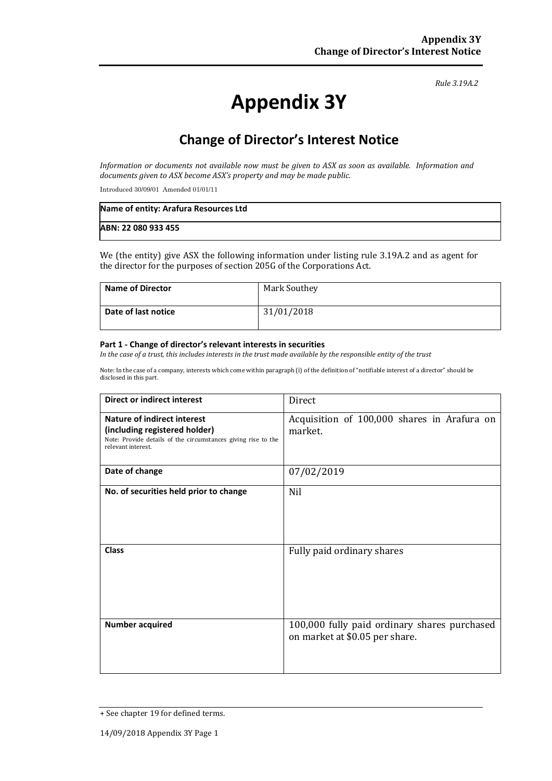#### *Rule 3.19A.2*

# **Appendix 3Y**

# **Change of Director's Interest Notice**

*Information or documents not available now must be given to ASX as soon as available. Information and documents given to ASX become ASX's property and may be made public.*

Introduced 30/09/01 Amended 01/01/11

| Name of entity: Arafura Resources Ltd |  |
|---------------------------------------|--|
| ABN: 22 080 933 455                   |  |

We (the entity) give ASX the following information under listing rule 3.19A.2 and as agent for the director for the purposes of section 205G of the Corporations Act.

| <b>Name of Director</b> | Mark Southey |
|-------------------------|--------------|
| Date of last notice     | 31/01/2018   |

#### **Part 1 - Change of director's relevant interests in securities**

*In the case of a trust, this includes interests in the trust made available by the responsible entity of the trust*

Note: In the case of a company, interests which come within paragraph (i) of the definition of "notifiable interest of a director" should be disclosed in this part.

| <b>Direct or indirect interest</b>                                                                                                                  | Direct                                                                         |
|-----------------------------------------------------------------------------------------------------------------------------------------------------|--------------------------------------------------------------------------------|
| Nature of indirect interest<br>(including registered holder)<br>Note: Provide details of the circumstances giving rise to the<br>relevant interest. | Acquisition of 100,000 shares in Arafura on<br>market.                         |
| Date of change                                                                                                                                      | 07/02/2019                                                                     |
| No. of securities held prior to change                                                                                                              | <b>Nil</b>                                                                     |
| <b>Class</b>                                                                                                                                        | Fully paid ordinary shares                                                     |
| <b>Number acquired</b>                                                                                                                              | 100,000 fully paid ordinary shares purchased<br>on market at \$0.05 per share. |

<sup>+</sup> See chapter 19 for defined terms.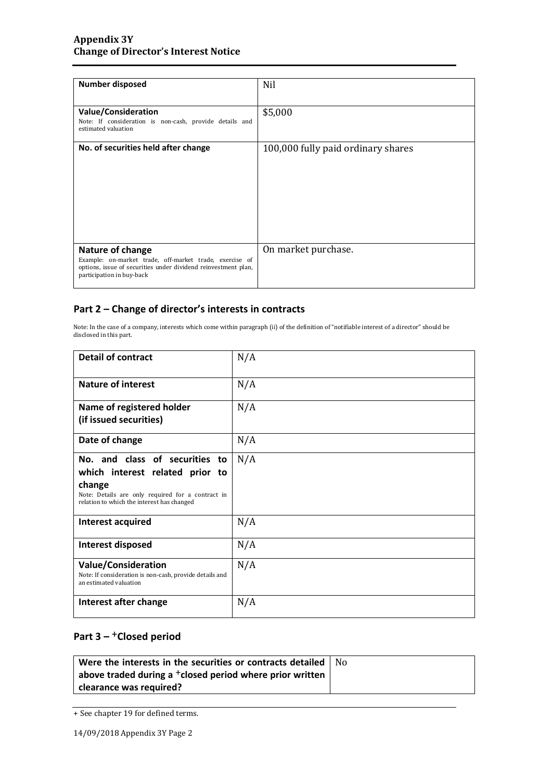| <b>Number disposed</b>                                                                                                                                                     | Nil                                |
|----------------------------------------------------------------------------------------------------------------------------------------------------------------------------|------------------------------------|
| <b>Value/Consideration</b><br>Note: If consideration is non-cash, provide details and<br>estimated valuation                                                               | \$5,000                            |
| No. of securities held after change                                                                                                                                        | 100,000 fully paid ordinary shares |
|                                                                                                                                                                            |                                    |
|                                                                                                                                                                            |                                    |
|                                                                                                                                                                            |                                    |
|                                                                                                                                                                            |                                    |
| Nature of change<br>Example: on-market trade, off-market trade, exercise of<br>options, issue of securities under dividend reinvestment plan,<br>participation in buy-back | On market purchase.                |

### **Part 2 – Change of director's interests in contracts**

Note: In the case of a company, interests which come within paragraph (ii) of the definition of "notifiable interest of a director" should be disclosed in this part.

| <b>Detail of contract</b>                                                                                                                                                      | N/A |
|--------------------------------------------------------------------------------------------------------------------------------------------------------------------------------|-----|
| <b>Nature of interest</b>                                                                                                                                                      | N/A |
| Name of registered holder<br>(if issued securities)                                                                                                                            | N/A |
| Date of change                                                                                                                                                                 | N/A |
| No. and class of securities to<br>which interest related prior to<br>change<br>Note: Details are only required for a contract in<br>relation to which the interest has changed | N/A |
| Interest acquired                                                                                                                                                              | N/A |
| Interest disposed                                                                                                                                                              | N/A |
| <b>Value/Consideration</b><br>Note: If consideration is non-cash, provide details and<br>an estimated valuation                                                                | N/A |
| Interest after change                                                                                                                                                          | N/A |

## **Part 3 –** +**Closed period**

| Were the interests in the securities or contracts detailed   No |  |
|-----------------------------------------------------------------|--|
| above traded during a $^+$ closed period where prior written    |  |
| clearance was required?                                         |  |

<sup>+</sup> See chapter 19 for defined terms.